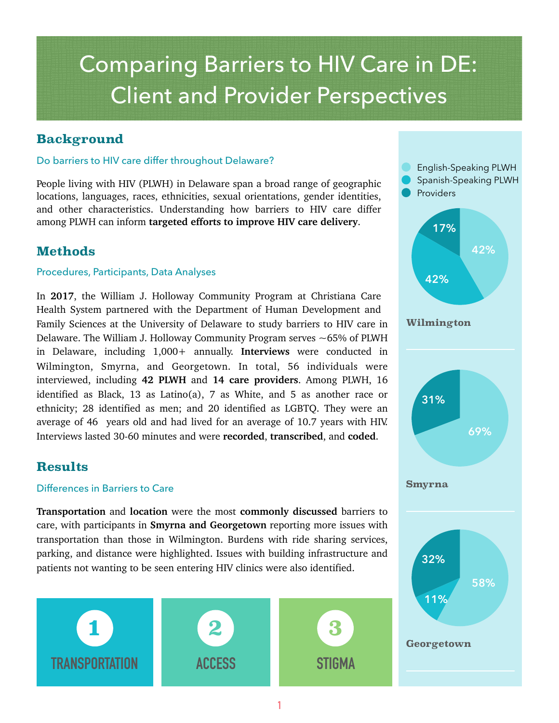# Comparing Barriers to HIV Care in DE: Client and Provider Perspectives

## **Background**

### Do barriers to HIV care differ throughout Delaware?

People living with HIV (PLWH) in Delaware span a broad range of geographic locations, languages, races, ethnicities, sexual orientations, gender identities, and other characteristics. Understanding how barriers to HIV care differ among PLWH can inform **targeted efforts to improve HIV care delivery**.

## **Methods**

#### Procedures, Participants, Data Analyses

In **2017**, the William J. Holloway Community Program at Christiana Care Health System partnered with the Department of Human Development and Family Sciences at the University of Delaware to study barriers to HIV care in Delaware. The William J. Holloway Community Program serves  $\sim$  65% of PLWH in Delaware, including 1,000+ annually. **Interviews** were conducted in Wilmington, Smyrna, and Georgetown. In total, 56 individuals were interviewed, including **42 PLWH** and **14 care providers**. Among PLWH, 16 identified as Black, 13 as Latino(a), 7 as White, and 5 as another race or ethnicity; 28 identified as men; and 20 identified as LGBTQ. They were an average of 46 years old and had lived for an average of 10.7 years with HIV. Interviews lasted 30-60 minutes and were **recorded**, **transcribed**, and **coded**.

## **Results**

#### Differences in Barriers to Care

**Transportation** and **location** were the most **commonly discussed** barriers to care, with participants in **Smyrna and Georgetown** reporting more issues with transportation than those in Wilmington. Burdens with ride sharing services, parking, and distance were highlighted. Issues with building infrastructure and patients not wanting to be seen entering HIV clinics were also identified.